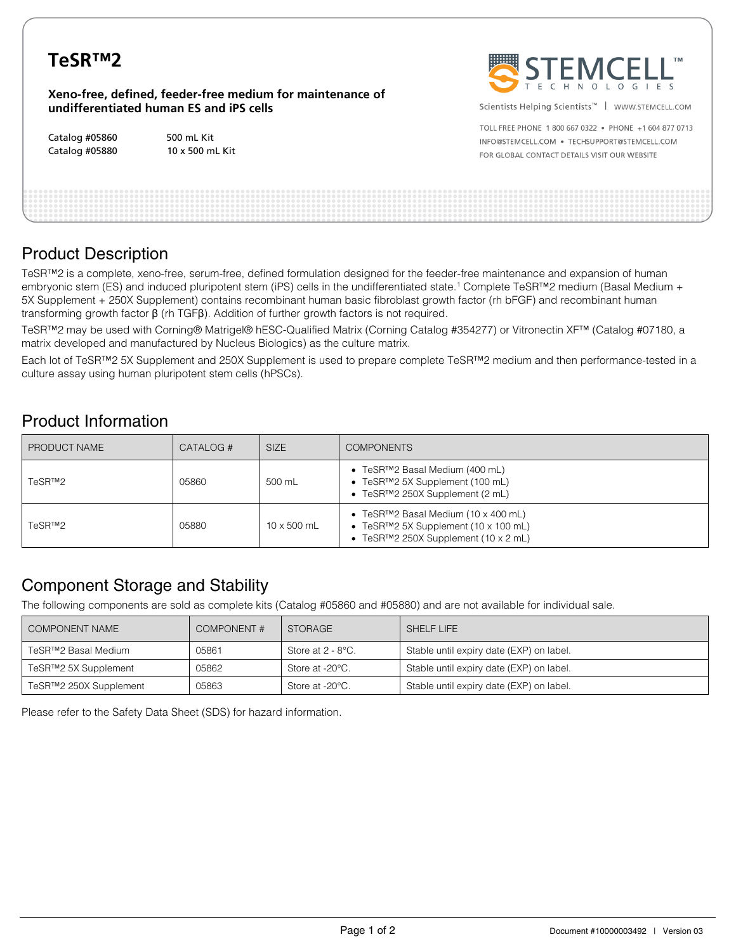| TeSR <sup>TM</sup> 2 | <b>WE</b>                                                                                            |             |
|----------------------|------------------------------------------------------------------------------------------------------|-------------|
|                      | Xeno-free, defined, feeder-free medium for maintenance of<br>undifferentiated human ES and iPS cells | Scien       |
|                      |                                                                                                      | TOLL        |
| Catalog #05860       | 500 mL Kit                                                                                           | <b>INFO</b> |
| Catalog #05880       | 10 x 500 mL Kit                                                                                      | FOR G       |



tists Helping Scientists™ │ WWW.STEMCELL.COM

FREE PHONE 1 800 667 0322 . PHONE +1 604 877 0713 @STEMCELL.COM · TECHSUPPORT@STEMCELL.COM **GLOBAL CONTACT DETAILS VISIT OUR WEBSITE** 

# Product Description

TeSR™2 is a complete, xeno-free, serum-free, defined formulation designed for the feeder-free maintenance and expansion of human embryonic stem (ES) and induced pluripotent stem (iPS) cells in the undifferentiated state.<sup>1</sup> Complete TeSR™2 medium (Basal Medium + 5X Supplement + 250X Supplement) contains recombinant human basic fibroblast growth factor (rh bFGF) and recombinant human transforming growth factor β (rh TGFβ). Addition of further growth factors is not required.

TeSR™2 may be used with Corning® Matrigel® hESC-Qualified Matrix (Corning Catalog #354277) or Vitronectin XF™ (Catalog #07180, a matrix developed and manufactured by Nucleus Biologics) as the culture matrix.

Each lot of TeSR™2 5X Supplement and 250X Supplement is used to prepare complete TeSR™2 medium and then performance-tested in a culture assay using human pluripotent stem cells (hPSCs).

# Product Information

| PRODUCT NAME | CATALOG # | <b>SIZE</b>        | <b>COMPONENTS</b>                                                                                                                                                            |
|--------------|-----------|--------------------|------------------------------------------------------------------------------------------------------------------------------------------------------------------------------|
| TeSR™2       | 05860     | 500 mL             | • TeSR <sup>TM</sup> 2 Basal Medium (400 mL)<br>• TeSR™2 5X Supplement (100 mL)<br>• TeSR <sup>TM</sup> 2 250X Supplement (2 mL)                                             |
| TeSR™2       | 05880     | $10 \times 500$ mL | • TeSR <sup>TM</sup> 2 Basal Medium $(10 \times 400 \text{ mL})$<br>• TeSR <sup>TM</sup> 2 5X Supplement (10 x 100 mL)<br>• TeSR <sup>TM</sup> 2 250X Supplement (10 x 2 mL) |

# Component Storage and Stability

The following components are sold as complete kits (Catalog #05860 and #05880) and are not available for individual sale.

| COMPONENT NAME                    | <b>COMPONENT#</b> | <b>STORAGE</b>       | SHELF LIFE                               |
|-----------------------------------|-------------------|----------------------|------------------------------------------|
| TeSR™2 Basal Medium               | 05861             | Store at $2 - 8$ °C. | Stable until expiry date (EXP) on label. |
| TeSR <sup>™</sup> 2 5X Supplement | 05862             | Store at -20°C.      | Stable until expiry date (EXP) on label. |
| TeSR™2 250X Supplement            | 05863             | Store at -20°C.      | Stable until expiry date (EXP) on label. |

Please refer to the Safety Data Sheet (SDS) for hazard information.